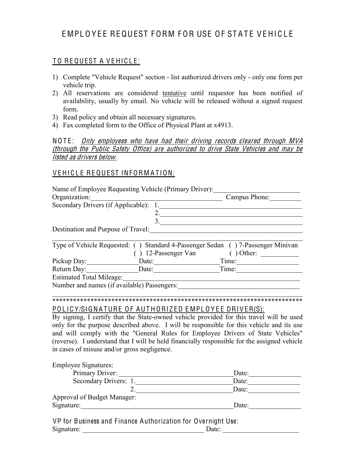# E MPL O Y F E REQUEST FORM FOR USE OF STATE VEHICLE

### TO REQUEST A VEHICLE:

- 1) Complete "Vehicle Request" section list authorized drivers only only one form per vehicle trip.
- 2) All reservations are considered tentative until requestor has been notified of availability, usually by email. No vehicle will be released without a signed request form.
- 3) Read policy and obtain all necessary signatures.
- 4) Fax completed form to the Office of Physical Plant at x4913.

NOTE: *Only employees who have had their driving records cleared through MVA* (through th<sup>e</sup> Publi<sup>c</sup> Safety Office) ar<sup>e</sup> authorized t<sup>o</sup> driv<sup>e</sup> Stat<sup>e</sup> Vehicle<sup>s</sup> and <sup>m</sup>ay b<sup>e</sup> listed as drivers below.

#### VEHICLE REQUEST INFORMATION:

|                                    | Name of Employee Requesting Vehicle (Primary Driver): |                                                                                 |
|------------------------------------|-------------------------------------------------------|---------------------------------------------------------------------------------|
| Organization:                      |                                                       | Campus Phone:                                                                   |
| Secondary Drivers (if Applicable): |                                                       |                                                                                 |
|                                    |                                                       |                                                                                 |
|                                    | 3                                                     |                                                                                 |
| Destination and Purpose of Travel: |                                                       |                                                                                 |
|                                    |                                                       |                                                                                 |
|                                    |                                                       | Type of Vehicle Requested: () Standard 4-Passenger Sedan () 7-Passenger Minivan |
|                                    | ) 12-Passenger Van                                    | Other:                                                                          |
| Pickup Day:                        | Date:                                                 | Time:                                                                           |
| Return Day:                        | Date:                                                 | Time:                                                                           |
| <b>Estimated Total Mileage:</b>    |                                                       |                                                                                 |
|                                    | Number and names (if available) Passengers:           |                                                                                 |
|                                    |                                                       |                                                                                 |
|                                    |                                                       |                                                                                 |

## POLICY/SIGNATURE OF AUTHORIZED EMPLOYEE DRIVER(S):

By signing, I certify that the State-owned vehicle provided for this travel will be used only for the purpose described above. I will be responsible for this vehicle and its use and will comply with the "General Rules for Employee Drivers of State Vehicles" (reverse). I understand that I will be held financially responsible for the assigned vehicle in cases of misuse and/or gross negligence.

Employee Signatures:<br>Primary Driver: Primary Driver: \_\_\_\_\_\_\_\_\_\_\_\_\_\_\_\_\_\_\_\_\_\_\_\_\_\_\_\_\_\_\_\_\_Date:\_\_\_\_\_\_\_\_\_\_\_\_\_\_\_ Secondary Drivers: 1.\_\_\_\_\_\_\_\_\_\_\_\_\_\_\_\_\_\_\_\_\_\_\_\_\_\_\_\_Date:\_\_\_\_\_\_\_\_\_\_\_\_\_\_\_  $2.$  Date: Approval of Budget Manager: Signature:\_\_\_\_\_\_\_\_\_\_\_\_\_\_\_\_\_\_\_\_\_\_\_\_\_\_\_\_\_\_\_\_\_\_\_\_\_\_\_\_\_\_\_\_Date:\_\_\_\_\_\_\_\_\_\_\_\_\_\_\_

VP for Business and Finance Authorization for Overnight Use: Signature: \_\_\_\_\_\_\_\_\_\_\_\_\_\_\_\_\_\_\_\_\_\_\_\_\_\_\_\_\_\_\_\_\_\_\_ Date: \_\_\_\_\_\_\_\_\_\_\_\_\_\_\_\_\_\_\_\_\_\_